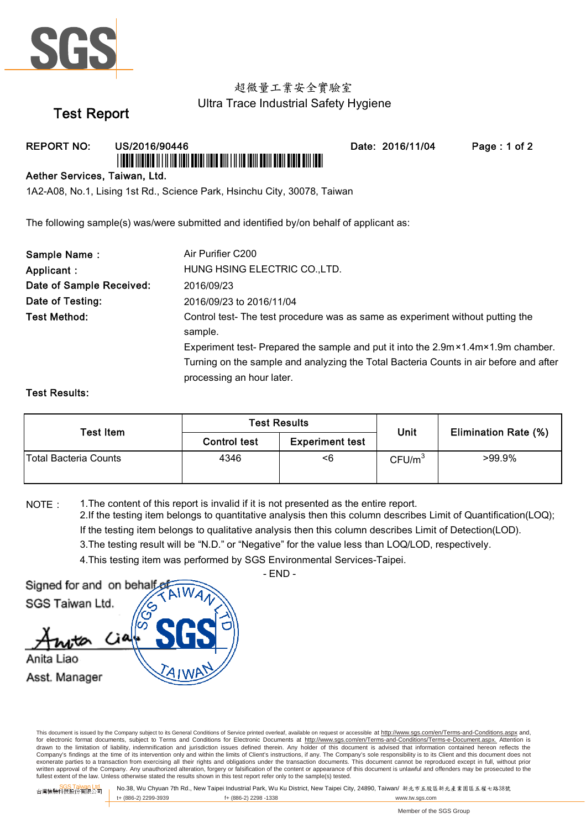

### 超微量工業安全實驗室 Ultra Trace Industrial Safety Hygiene

# Test Report

REPORT NO: US/2016/90446 Date: 2016/11/04 Page : 1 of 2 \*USFAR \*USFALD \*USFAR \*USFARD \*USFARD \*USFARD \*USFARD \*USFARD \*USFARD \*USFARD \*USFARD \*USFARD \*USFARD \*USFARD \*

#### Aether Services, Taiwan, Ltd.

1A2-A08, No.1, Lising 1st Rd., Science Park, Hsinchu City, 30078, Taiwan

The following sample(s) was/were submitted and identified by/on behalf of applicant as:

| Sample Name:             | Air Purifier C200                                                                                                        |
|--------------------------|--------------------------------------------------------------------------------------------------------------------------|
| Applicant :              | HUNG HSING ELECTRIC CO., LTD.                                                                                            |
| Date of Sample Received: | 2016/09/23                                                                                                               |
| Date of Testing:         | 2016/09/23 to 2016/11/04                                                                                                 |
| <b>Test Method:</b>      | Control test-The test procedure was as same as experiment without putting the                                            |
|                          | sample.                                                                                                                  |
|                          | Experiment test- Prepared the sample and put it into the $2.9 \text{m} \times 1.4 \text{m} \times 1.9 \text{m}$ chamber. |
|                          | Turning on the sample and analyzing the Total Bacteria Counts in air before and after                                    |
|                          | processing an hour later.                                                                                                |

#### Test Results:

| <b>Test Item</b>      | <b>Test Results</b> |                        | Unit               | <b>Elimination Rate (%)</b> |
|-----------------------|---------------------|------------------------|--------------------|-----------------------------|
|                       | <b>Control test</b> | <b>Experiment test</b> |                    |                             |
| Total Bacteria Counts | 4346                | <6                     | CFU/m <sup>3</sup> | >99.9%                      |

NOTE: 1. The content of this report is invalid if it is not presented as the entire report. 4.This testing item was performed by SGS Environmental Services-Taipei. 2.If the testing item belongs to quantitative analysis then this column describes Limit of Quantification(LOQ); If the testing item belongs to qualitative analysis then this column describes Limit of Detection(LOD). 3.The testing result will be "N.D." or "Negative" for the value less than LOQ/LOD, respectively.



- END -

This document is issued by the Company subject to its General Conditions of Service printed overleaf, available on request or accessible at http://www.sgs.com/en/Terms-and-Conditions.aspx and, for electronic format documents, subject to Terms and Conditions for Electronic Documents at http://www.sgs.com/en/Terms-and-Conditions/Terms-e-Document.aspx. Attention is drawn to the limitation of liability, indemnification and jurisdiction issues defined therein. Any holder of this document is advised that information contained hereon reflects the Company's findings at the time of its intervention only and within the limits of Client's instructions, if any. The Company's sole responsibility is to its Client and this document does not exonerate parties to a transaction from exercising all their rights and obligations under the transaction documents. This document cannot be reproduced except in full, without prior written approval of the Company. Any unauthorized alteration, forgery or falsification of the content or appearance of this document is unlawful and offenders may be prosecuted to the<br>fullest extent of the law. Unless othe